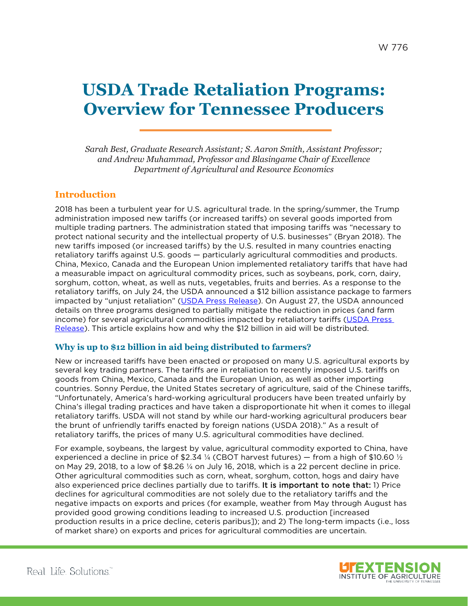# **USDA Trade Retaliation Programs: Overview for Tennessee Producers**

*Sarah Best, Graduate Research Assistant; S. Aaron Smith, Assistant Professor; and Andrew Muhammad, Professor and Blasingame Chair of Excellence Department of Agricultural and Resource Economics*

## **Introduction**

2018 has been a turbulent year for U.S. agricultural trade. In the spring/summer, the Trump administration imposed new tariffs (or increased tariffs) on several goods imported from multiple trading partners. The administration stated that imposing tariffs was "necessary to protect national security and the intellectual property of U.S. businesses" (Bryan 2018). The new tariffs imposed (or increased tariffs) by the U.S. resulted in many countries enacting retaliatory tariffs against U.S. goods — particularly agricultural commodities and products. China, Mexico, Canada and the European Union implemented retaliatory tariffs that have had a measurable impact on agricultural commodity prices, such as soybeans, pork, corn, dairy, sorghum, cotton, wheat, as well as nuts, vegetables, fruits and berries. As a response to the retaliatory tariffs, on July 24, the USDA announced a \$12 billion assistance package to farmers impacted by "unjust retaliation" [\(USDA Press Release\)](https://www.usda.gov/media/press-releases/2018/07/24/usda-assists-farmers-impacted-unjustified-retaliation). On August 27, the USDA announced details on three programs designed to partially mitigate the reduction in prices (and farm income) for several agricultural commodities impacted by retaliatory tariffs [\(USDA Press](https://www.usda.gov/media/press-releases/2018/08/27/usda-announces-details-assistance-farmers-impacted-unjustified)  [Release\)](https://www.usda.gov/media/press-releases/2018/08/27/usda-announces-details-assistance-farmers-impacted-unjustified). This article explains how and why the \$12 billion in aid will be distributed.

### **Why is up to \$12 billion in aid being distributed to farmers?**

New or increased tariffs have been enacted or proposed on many U.S. agricultural exports by several key trading partners. The tariffs are in retaliation to recently imposed U.S. tariffs on goods from China, Mexico, Canada and the European Union, as well as other importing countries. Sonny Perdue, the United States secretary of agriculture, said of the Chinese tariffs, "Unfortunately, America's hard-working agricultural producers have been treated unfairly by China's illegal trading practices and have taken a disproportionate hit when it comes to illegal retaliatory tariffs. USDA will not stand by while our hard-working agricultural producers bear the brunt of unfriendly tariffs enacted by foreign nations (USDA 2018)." As a result of retaliatory tariffs, the prices of many U.S. agricultural commodities have declined.

For example, soybeans, the largest by value, agricultural commodity exported to China, have experienced a decline in price of \$2.34  $\frac{1}{4}$  (CBOT harvest futures) – from a high of \$10.60  $\frac{1}{2}$ on May 29, 2018, to a low of \$8.26 ¼ on July 16, 2018, which is a 22 percent decline in price. Other agricultural commodities such as corn, wheat, sorghum, cotton, hogs and dairy have also experienced price declines partially due to tariffs. It is important to note that: 1) Price declines for agricultural commodities are not solely due to the retaliatory tariffs and the negative impacts on exports and prices (for example, weather from May through August has provided good growing conditions leading to increased U.S. production [increased production results in a price decline, ceteris paribus]); and 2) The long-term impacts (i.e., loss of market share) on exports and prices for agricultural commodities are uncertain.

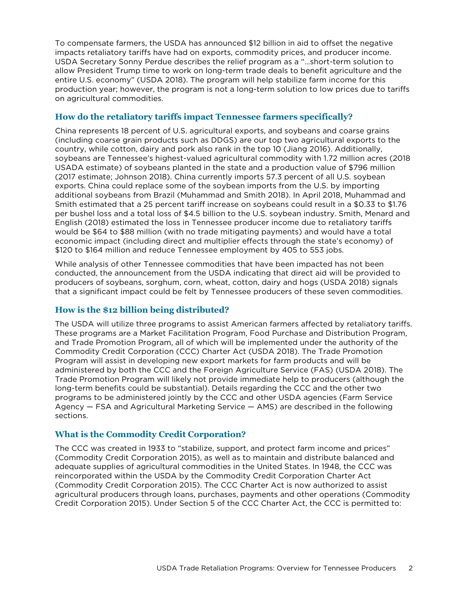To compensate farmers, the USDA has announced \$12 billion in aid to offset the negative impacts retaliatory tariffs have had on exports, commodity prices, and producer income. USDA Secretary Sonny Perdue describes the relief program as a "…short-term solution to allow President Trump time to work on long-term trade deals to benefit agriculture and the entire U.S. economy" (USDA 2018). The program will help stabilize farm income for this production year; however, the program is not a long-term solution to low prices due to tariffs on agricultural commodities.

#### **How do the retaliatory tariffs impact Tennessee farmers specifically?**

China represents 18 percent of U.S. agricultural exports, and soybeans and coarse grains (including coarse grain products such as DDGS) are our top two agricultural exports to the country, while cotton, dairy and pork also rank in the top 10 (Jiang 2016). Additionally, soybeans are Tennessee's highest-valued agricultural commodity with 1.72 million acres (2018 USADA estimate) of soybeans planted in the state and a production value of \$796 million (2017 estimate; Johnson 2018). China currently imports 57.3 percent of all U.S. soybean exports. China could replace some of the soybean imports from the U.S. by importing additional soybeans from Brazil (Muhammad and Smith 2018). In April 2018, Muhammad and Smith estimated that a 25 percent tariff increase on soybeans could result in a \$0.33 to \$1.76 per bushel loss and a total loss of \$4.5 billion to the U.S. soybean industry. Smith, Menard and English (2018) estimated the loss in Tennessee producer income due to retaliatory tariffs would be \$64 to \$88 million (with no trade mitigating payments) and would have a total economic impact (including direct and multiplier effects through the state's economy) of \$120 to \$164 million and reduce Tennessee employment by 405 to 553 jobs.

While analysis of other Tennessee commodities that have been impacted has not been conducted, the announcement from the USDA indicating that direct aid will be provided to producers of soybeans, sorghum, corn, wheat, cotton, dairy and hogs (USDA 2018) signals that a significant impact could be felt by Tennessee producers of these seven commodities.

#### **How is the \$12 billion being distributed?**

The USDA will utilize three programs to assist American farmers affected by retaliatory tariffs. These programs are a Market Facilitation Program, Food Purchase and Distribution Program, and Trade Promotion Program, all of which will be implemented under the authority of the Commodity Credit Corporation (CCC) Charter Act (USDA 2018). The Trade Promotion Program will assist in developing new export markets for farm products and will be administered by both the CCC and the Foreign Agriculture Service (FAS) (USDA 2018). The Trade Promotion Program will likely not provide immediate help to producers (although the long-term benefits could be substantial). Details regarding the CCC and the other two programs to be administered jointly by the CCC and other USDA agencies (Farm Service Agency — FSA and Agricultural Marketing Service — AMS) are described in the following sections.

#### **What is the Commodity Credit Corporation?**

The CCC was created in 1933 to "stabilize, support, and protect farm income and prices" (Commodity Credit Corporation 2015), as well as to maintain and distribute balanced and adequate supplies of agricultural commodities in the United States. In 1948, the CCC was reincorporated within the USDA by the Commodity Credit Corporation Charter Act (Commodity Credit Corporation 2015). The CCC Charter Act is now authorized to assist agricultural producers through loans, purchases, payments and other operations (Commodity Credit Corporation 2015). Under Section 5 of the CCC Charter Act, the CCC is permitted to: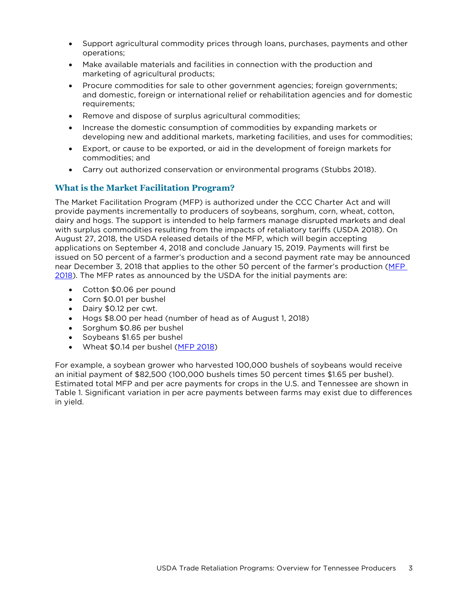- Support agricultural commodity prices through loans, purchases, payments and other operations;
- Make available materials and facilities in connection with the production and marketing of agricultural products;
- Procure commodities for sale to other government agencies; foreign governments; and domestic, foreign or international relief or rehabilitation agencies and for domestic requirements;
- Remove and dispose of surplus agricultural commodities;
- Increase the domestic consumption of commodities by expanding markets or developing new and additional markets, marketing facilities, and uses for commodities;
- Export, or cause to be exported, or aid in the development of foreign markets for commodities; and
- Carry out authorized conservation or environmental programs (Stubbs 2018).

#### **What is the Market Facilitation Program?**

The Market Facilitation Program (MFP) is authorized under the CCC Charter Act and will provide payments incrementally to producers of soybeans, sorghum, corn, wheat, cotton, dairy and hogs. The support is intended to help farmers manage disrupted markets and deal with surplus commodities resulting from the impacts of retaliatory tariffs (USDA 2018). On August 27, 2018, the USDA released details of the MFP, which will begin accepting applications on September 4, 2018 and conclude January 15, 2019. Payments will first be issued on 50 percent of a farmer's production and a second payment rate may be announced near December 3, 2018 that applies to the other 50 percent of the farmer's production (MFP [2018\)](https://www.farmers.gov/sites/default/files/documents/MarketFacilitationProgram_FactSheetAugust2018.pdf). The MFP rates as announced by the USDA for the initial payments are:

- Cotton \$0.06 per pound
- Corn \$0.01 per bushel
- Dairy \$0.12 per cwt.
- Hogs \$8.00 per head (number of head as of August 1, 2018)
- Sorghum \$0.86 per bushel
- Soybeans \$1.65 per bushel
- Wheat \$0.14 per bushel (MFP [2018\)](https://www.farmers.gov/sites/default/files/documents/MarketFacilitationProgram_FactSheetAugust2018.pdf)

For example, a soybean grower who harvested 100,000 bushels of soybeans would receive an initial payment of \$82,500 (100,000 bushels times 50 percent times \$1.65 per bushel). Estimated total MFP and per acre payments for crops in the U.S. and Tennessee are shown in Table 1. Significant variation in per acre payments between farms may exist due to differences in yield.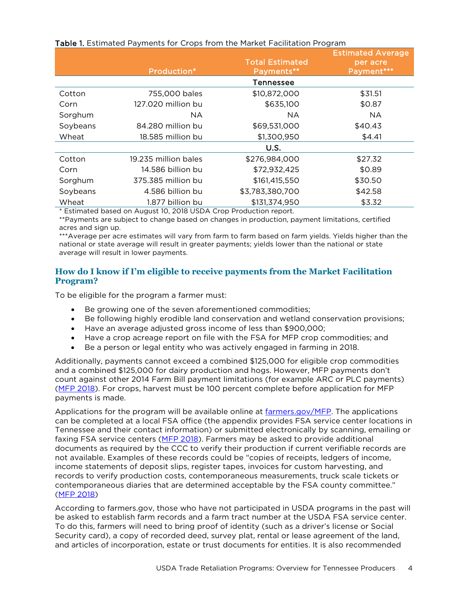|  | Table 1. Estimated Payments for Crops from the Market Facilitation Program |  |  |  |  |  |  |
|--|----------------------------------------------------------------------------|--|--|--|--|--|--|
|--|----------------------------------------------------------------------------|--|--|--|--|--|--|

|            |                      | <b>Total Estimated</b> | <b>Estimated Average</b><br>per acre |
|------------|----------------------|------------------------|--------------------------------------|
|            | Production*          | Payments**             | Payment***                           |
|            |                      | Tennessee              |                                      |
| Cotton     | 755,000 bales        | \$10,872,000           | \$31.51                              |
| Corn       | 127.020 million bu   | \$635,100              | \$0.87                               |
| Sorghum    | NA.                  | <b>NA</b>              | <b>NA</b>                            |
| Soybeans   | 84.280 million bu    | \$69,531,000           | \$40.43                              |
| Wheat      | 18.585 million bu    | \$1,300,950            | \$4.41                               |
|            |                      | U.S.                   |                                      |
| Cotton     | 19.235 million bales | \$276,984,000          | \$27.32                              |
| Corn       | 14.586 billion bu    | \$72,932,425           | \$0.89                               |
| Sorghum    | 375.385 million bu   | \$161,415,550          | \$30.50                              |
| Soybeans   | 4.586 billion bu     | \$3,783,380,700        | \$42.58                              |
| Wheat<br>. | 1.877 billion bu     | \$131,374,950          | \$3.32                               |

Estimated based on August 10, 2018 USDA Crop Production report.

\*\*Payments are subject to change based on changes in production, payment limitations, certified acres and sign up.

\*\*\*Average per acre estimates will vary from farm to farm based on farm yields. Yields higher than the national or state average will result in greater payments; yields lower than the national or state average will result in lower payments.

#### **How do I know if I'm eligible to receive payments from the Market Facilitation Program?**

To be eligible for the program a farmer must:

- Be growing one of the seven aforementioned commodities;
- Be following highly erodible land conservation and wetland conservation provisions;
- Have an average adjusted gross income of less than \$900,000;
- Have a crop acreage report on file with the FSA for MFP crop commodities; and
- Be a person or legal entity who was actively engaged in farming in 2018.

Additionally, payments cannot exceed a combined \$125,000 for eligible crop commodities and a combined \$125,000 for dairy production and hogs. However, MFP payments don't count against other 2014 Farm Bill payment limitations (for example ARC or PLC payments) (MFP [2018\)](https://www.farmers.gov/sites/default/files/documents/MarketFacilitationProgram_FactSheetAugust2018.pdf). For crops, harvest must be 100 percent complete before application for MFP payments is made.

Applications for the program will be available online at [farmers.gov/MFP.](http://www.farmers.gov/MFP) The applications can be completed at a local FSA office (the appendix provides FSA service center locations in Tennessee and their contact information) or submitted electronically by scanning, emailing or faxing FSA service centers [\(MFP 2018\)](https://www.farmers.gov/sites/default/files/documents/MarketFacilitationProgram_FactSheetAugust2018.pdf). Farmers may be asked to provide additional documents as required by the CCC to verify their production if current verifiable records are not available. Examples of these records could be "copies of receipts, ledgers of income, income statements of deposit slips, register tapes, invoices for custom harvesting, and records to verify production costs, contemporaneous measurements, truck scale tickets or contemporaneous diaries that are determined acceptable by the FSA county committee." (MFP [2018\)](https://www.farmers.gov/sites/default/files/documents/MarketFacilitationProgram_FactSheetAugust2018.pdf)

According to farmers.gov, those who have not participated in USDA programs in the past will be asked to establish farm records and a farm tract number at the USDA FSA service center. To do this, farmers will need to bring proof of identity (such as a driver's license or Social Security card), a copy of recorded deed, survey plat, rental or lease agreement of the land, and articles of incorporation, estate or trust documents for entities. It is also recommended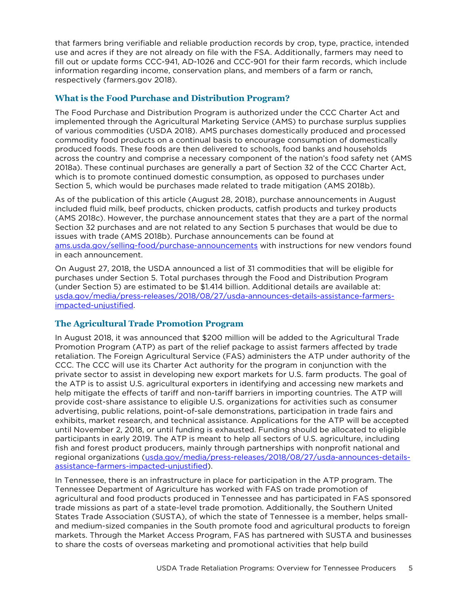that farmers bring verifiable and reliable production records by crop, type, practice, intended use and acres if they are not already on file with the FSA. Additionally, farmers may need to fill out or update forms CCC-941, AD-1026 and CCC-901 for their farm records, which include information regarding income, conservation plans, and members of a farm or ranch, respectively (farmers.gov 2018).

#### **What is the Food Purchase and Distribution Program?**

The Food Purchase and Distribution Program is authorized under the CCC Charter Act and implemented through the Agricultural Marketing Service (AMS) to purchase surplus supplies of various commodities (USDA 2018). AMS purchases domestically produced and processed commodity food products on a continual basis to encourage consumption of domestically produced foods. These foods are then delivered to schools, food banks and households across the country and comprise a necessary component of the nation's food safety net (AMS 2018a). These continual purchases are generally a part of Section 32 of the CCC Charter Act, which is to promote continued domestic consumption, as opposed to purchases under Section 5, which would be purchases made related to trade mitigation (AMS 2018b).

As of the publication of this article (August 28, 2018), purchase announcements in August included fluid milk, beef products, chicken products, catfish products and turkey products (AMS 2018c). However, the purchase announcement states that they are a part of the normal Section 32 purchases and are not related to any Section 5 purchases that would be due to issues with trade (AMS 2018b). Purchase announcements can be found at [ams.usda.gov/selling-food/purchase-announcements](https://www.ams.usda.gov/selling-food/purchase-announcements) with instructions for new vendors found in each announcement.

On August 27, 2018, the USDA announced a list of 31 commodities that will be eligible for purchases under Section 5. Total purchases through the Food and Distribution Program (under Section 5) are estimated to be \$1.414 billion. Additional details are available at: [usda.gov/media/press-releases/2018/08/27/usda-announces-details-assistance-farmers](https://www.usda.gov/media/press-releases/2018/08/27/usda-announces-details-assistance-farmers-impacted-unjustified)[impacted-unjustified.](https://www.usda.gov/media/press-releases/2018/08/27/usda-announces-details-assistance-farmers-impacted-unjustified) 

#### **The Agricultural Trade Promotion Program**

In August 2018, it was announced that \$200 million will be added to the Agricultural Trade Promotion Program (ATP) as part of the relief package to assist farmers affected by trade retaliation. The Foreign Agricultural Service (FAS) administers the ATP under authority of the CCC. The CCC will use its Charter Act authority for the program in conjunction with the private sector to assist in developing new export markets for U.S. farm products. The goal of the ATP is to assist U.S. agricultural exporters in identifying and accessing new markets and help mitigate the effects of tariff and non-tariff barriers in importing countries. The ATP will provide cost-share assistance to eligible U.S. organizations for activities such as consumer advertising, public relations, point-of-sale demonstrations, participation in trade fairs and exhibits, market research, and technical assistance. Applications for the ATP will be accepted until November 2, 2018, or until funding is exhausted. Funding should be allocated to eligible participants in early 2019. The ATP is meant to help all sectors of U.S. agriculture, including fish and forest product producers, mainly through partnerships with nonprofit national and regional organizations [\(usda.gov/media/press-releases/2018/08/27/usda-announces-details](https://www.usda.gov/media/press-releases/2018/08/27/usda-announces-details-assistance-farmers-impacted-unjustified)[assistance-farmers-impacted-unjustified\)](https://www.usda.gov/media/press-releases/2018/08/27/usda-announces-details-assistance-farmers-impacted-unjustified).

In Tennessee, there is an infrastructure in place for participation in the ATP program. The Tennessee Department of Agriculture has worked with FAS on trade promotion of agricultural and food products produced in Tennessee and has participated in FAS sponsored trade missions as part of a state-level trade promotion. Additionally, the Southern United States Trade Association (SUSTA), of which the state of Tennessee is a member, helps smalland medium-sized companies in the South promote food and agricultural products to foreign markets. Through the Market Access Program, FAS has partnered with SUSTA and businesses to share the costs of overseas marketing and promotional activities that help build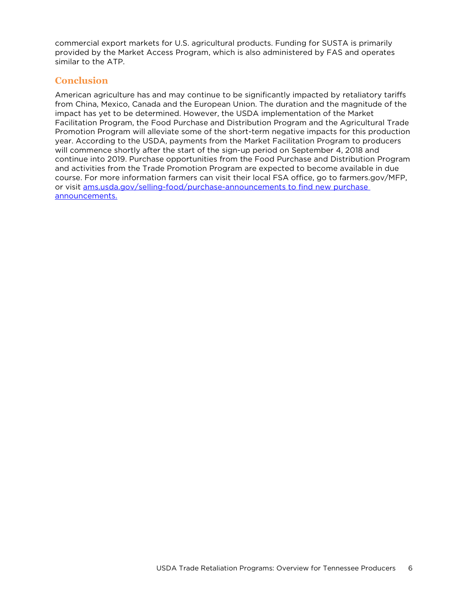commercial export markets for U.S. agricultural products. Funding for SUSTA is primarily provided by the Market Access Program, which is also administered by FAS and operates similar to the ATP.

# **Conclusion**

American agriculture has and may continue to be significantly impacted by retaliatory tariffs from China, Mexico, Canada and the European Union. The duration and the magnitude of the impact has yet to be determined. However, the USDA implementation of the Market Facilitation Program, the Food Purchase and Distribution Program and the Agricultural Trade Promotion Program will alleviate some of the short-term negative impacts for this production year. According to the USDA, payments from the Market Facilitation Program to producers will commence shortly after the start of the sign-up period on September 4, 2018 and continue into 2019. Purchase opportunities from the Food Purchase and Distribution Program and activities from the Trade Promotion Program are expected to become available in due course. For more information farmers can visit their local FSA office, go to farmers.gov/MFP, or visit [ams.usda.gov/selling-food/purchase-announcements](https://www.ams.usda.gov/selling-food/purchase-announcements) to find new purchase announcements.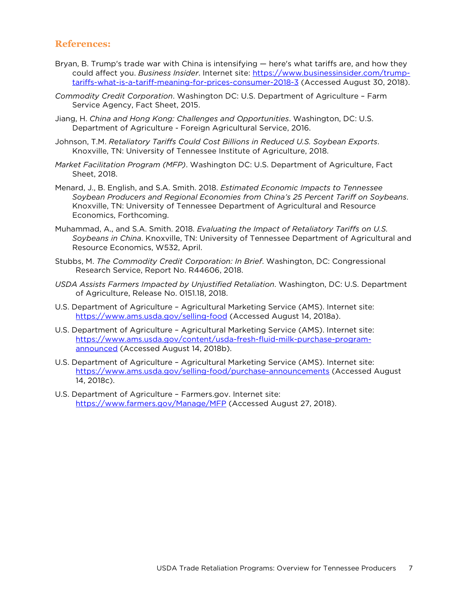#### **References:**

- Bryan, B. Trump's trade war with China is intensifying here's what tariffs are, and how they could affect you. *Business Insider*. Internet site: [https://www.businessinsider.com/trump](https://www.businessinsider.com/trump-tariffs-what-is-a-tariff-meaning-for-prices-consumer-2018-3)[tariffs-what-is-a-tariff-meaning-for-prices-consumer-2018-3](https://www.businessinsider.com/trump-tariffs-what-is-a-tariff-meaning-for-prices-consumer-2018-3) (Accessed August 30, 2018).
- *Commodity Credit Corporation*. Washington DC: U.S. Department of Agriculture Farm Service Agency, Fact Sheet, 2015.
- Jiang, H. *China and Hong Kong: Challenges and Opportunities*. Washington, DC: U.S. Department of Agriculture - Foreign Agricultural Service, 2016.
- Johnson, T.M. *Retaliatory Tariffs Could Cost Billions in Reduced U.S. Soybean Exports*. Knoxville, TN: University of Tennessee Institute of Agriculture, 2018.
- *Market Facilitation Program (MFP)*. Washington DC: U.S. Department of Agriculture, Fact Sheet, 2018.
- Menard, J., B. English, and S.A. Smith. 2018. *Estimated Economic Impacts to Tennessee Soybean Producers and Regional Economies from China's 25 Percent Tariff on Soybeans*. Knoxville, TN: University of Tennessee Department of Agricultural and Resource Economics, Forthcoming.
- Muhammad, A., and S.A. Smith. 2018. *Evaluating the Impact of Retaliatory Tariffs on U.S. Soybeans in China*. Knoxville, TN: University of Tennessee Department of Agricultural and Resource Economics, W532, April.
- Stubbs, M. *The Commodity Credit Corporation: In Brief*. Washington, DC: Congressional Research Service, Report No. R44606, 2018.
- *USDA Assists Farmers Impacted by Unjustified Retaliation*. Washington, DC: U.S. Department of Agriculture, Release No. 0151.18, 2018.
- U.S. Department of Agriculture Agricultural Marketing Service (AMS). Internet site: <https://www.ams.usda.gov/selling-food> (Accessed August 14, 2018a).
- U.S. Department of Agriculture Agricultural Marketing Service (AMS). Internet site: [https://www.ams.usda.gov/content/usda-fresh-fluid-milk-purchase-program](https://www.ams.usda.gov/content/usda-fresh-fluid-milk-purchase-program-announced)[announced](https://www.ams.usda.gov/content/usda-fresh-fluid-milk-purchase-program-announced) (Accessed August 14, 2018b).
- U.S. Department of Agriculture Agricultural Marketing Service (AMS). Internet site: <https://www.ams.usda.gov/selling-food/purchase-announcements> (Accessed August 14, 2018c).
- U.S. Department of Agriculture Farmers.gov. Internet site: <https://www.farmers.gov/Manage/MFP> (Accessed August 27, 2018).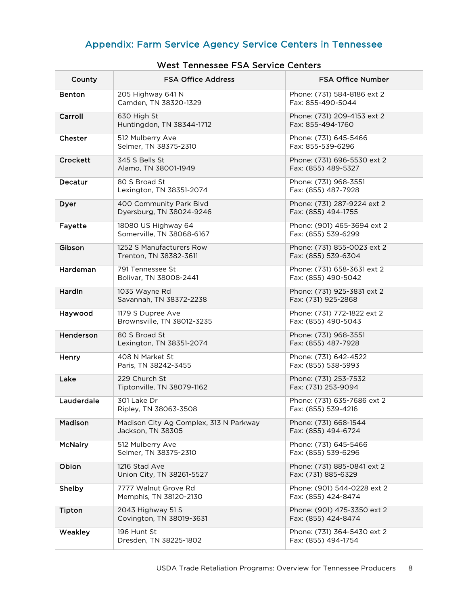# Appendix: Farm Service Agency Service Centers in Tennessee

| <b>West Tennessee FSA Service Centers</b> |                                                             |                                                    |  |
|-------------------------------------------|-------------------------------------------------------------|----------------------------------------------------|--|
| County                                    | <b>FSA Office Address</b>                                   | <b>FSA Office Number</b>                           |  |
| <b>Benton</b>                             | 205 Highway 641 N<br>Camden, TN 38320-1329                  | Phone: (731) 584-8186 ext 2<br>Fax: 855-490-5044   |  |
| Carroll                                   | 630 High St<br>Huntingdon, TN 38344-1712                    | Phone: (731) 209-4153 ext 2<br>Fax: 855-494-1760   |  |
| Chester                                   | 512 Mulberry Ave<br>Selmer, TN 38375-2310                   | Phone: (731) 645-5466<br>Fax: 855-539-6296         |  |
| Crockett                                  | 345 S Bells St<br>Alamo, TN 38001-1949                      | Phone: (731) 696-5530 ext 2<br>Fax: (855) 489-5327 |  |
| Decatur                                   | 80 S Broad St<br>Lexington, TN 38351-2074                   | Phone: (731) 968-3551<br>Fax: (855) 487-7928       |  |
| Dyer                                      | 400 Community Park Blvd<br>Dyersburg, TN 38024-9246         | Phone: (731) 287-9224 ext 2<br>Fax: (855) 494-1755 |  |
| Fayette                                   | 18080 US Highway 64<br>Somerville, TN 38068-6167            | Phone: (901) 465-3694 ext 2<br>Fax: (855) 539-6299 |  |
| Gibson                                    | 1252 S Manufacturers Row<br>Trenton, TN 38382-3611          | Phone: (731) 855-0023 ext 2<br>Fax: (855) 539-6304 |  |
| Hardeman                                  | 791 Tennessee St<br>Bolivar, TN 38008-2441                  | Phone: (731) 658-3631 ext 2<br>Fax: (855) 490-5042 |  |
| Hardin                                    | 1035 Wayne Rd<br>Savannah, TN 38372-2238                    | Phone: (731) 925-3831 ext 2<br>Fax: (731) 925-2868 |  |
| Haywood                                   | 1179 S Dupree Ave<br>Brownsville, TN 38012-3235             | Phone: (731) 772-1822 ext 2<br>Fax: (855) 490-5043 |  |
| Henderson                                 | 80 S Broad St<br>Lexington, TN 38351-2074                   | Phone: (731) 968-3551<br>Fax: (855) 487-7928       |  |
| Henry                                     | 408 N Market St<br>Paris, TN 38242-3455                     | Phone: (731) 642-4522<br>Fax: (855) 538-5993       |  |
| Lake                                      | 229 Church St<br>Tiptonville, TN 38079-1162                 | Phone: (731) 253-7532<br>Fax: (731) 253-9094       |  |
| Lauderdale                                | 301 Lake Dr<br>Ripley, TN 38063-3508                        | Phone: (731) 635-7686 ext 2<br>Fax: (855) 539-4216 |  |
| Madison                                   | Madison City Ag Complex, 313 N Parkway<br>Jackson, TN 38305 | Phone: (731) 668-1544<br>Fax: (855) 494-6724       |  |
| <b>McNairy</b>                            | 512 Mulberry Ave<br>Selmer, TN 38375-2310                   | Phone: (731) 645-5466<br>Fax: (855) 539-6296       |  |
| Obion                                     | 1216 Stad Ave<br>Union City, TN 38261-5527                  | Phone: (731) 885-0841 ext 2<br>Fax: (731) 885-6329 |  |
| Shelby                                    | 7777 Walnut Grove Rd<br>Memphis, TN 38120-2130              | Phone: (901) 544-0228 ext 2<br>Fax: (855) 424-8474 |  |
| Tipton                                    | 2043 Highway 51 S<br>Covington, TN 38019-3631               | Phone: (901) 475-3350 ext 2<br>Fax: (855) 424-8474 |  |
| Weakley                                   | 196 Hunt St<br>Dresden, TN 38225-1802                       | Phone: (731) 364-5430 ext 2<br>Fax: (855) 494-1754 |  |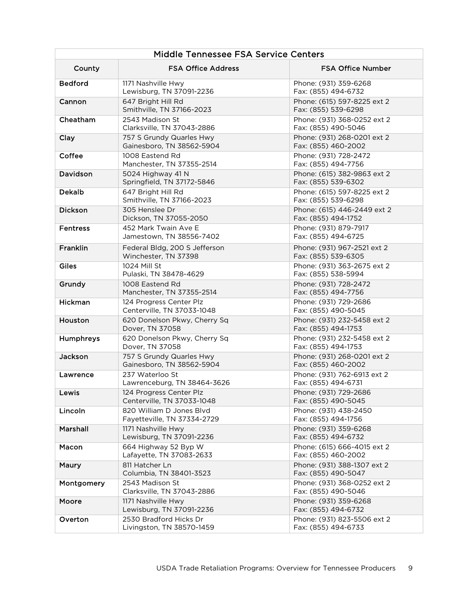| Middle Tennessee FSA Service Centers |                                                         |                                                    |  |
|--------------------------------------|---------------------------------------------------------|----------------------------------------------------|--|
| County                               | <b>FSA Office Address</b>                               | <b>FSA Office Number</b>                           |  |
| <b>Bedford</b>                       | 1171 Nashville Hwy<br>Lewisburg, TN 37091-2236          | Phone: (931) 359-6268<br>Fax: (855) 494-6732       |  |
| Cannon                               | 647 Bright Hill Rd<br>Smithville, TN 37166-2023         | Phone: (615) 597-8225 ext 2<br>Fax: (855) 539-6298 |  |
| Cheatham                             | 2543 Madison St<br>Clarksville, TN 37043-2886           | Phone: (931) 368-0252 ext 2<br>Fax: (855) 490-5046 |  |
| Clay                                 | 757 S Grundy Quarles Hwy<br>Gainesboro, TN 38562-5904   | Phone: (931) 268-0201 ext 2<br>Fax: (855) 460-2002 |  |
| Coffee                               | 1008 Eastend Rd<br>Manchester, TN 37355-2514            | Phone: (931) 728-2472<br>Fax: (855) 494-7756       |  |
| Davidson                             | 5024 Highway 41 N<br>Springfield, TN 37172-5846         | Phone: (615) 382-9863 ext 2<br>Fax: (855) 539-6302 |  |
| <b>Dekalb</b>                        | 647 Bright Hill Rd<br>Smithville, TN 37166-2023         | Phone: (615) 597-8225 ext 2<br>Fax: (855) 539-6298 |  |
| <b>Dickson</b>                       | 305 Henslee Dr<br>Dickson, TN 37055-2050                | Phone: (615) 446-2449 ext 2<br>Fax: (855) 494-1752 |  |
| <b>Fentress</b>                      | 452 Mark Twain Ave E<br>Jamestown, TN 38556-7402        | Phone: (931) 879-7917<br>Fax: (855) 494-6725       |  |
| Franklin                             | Federal Bldg, 200 S Jefferson<br>Winchester, TN 37398   | Phone: (931) 967-2521 ext 2<br>Fax: (855) 539-6305 |  |
| Giles                                | 1024 Mill St<br>Pulaski, TN 38478-4629                  | Phone: (931) 363-2675 ext 2<br>Fax: (855) 538-5994 |  |
| Grundy                               | 1008 Eastend Rd<br>Manchester, TN 37355-2514            | Phone: (931) 728-2472<br>Fax: (855) 494-7756       |  |
| Hickman                              | 124 Progress Center Plz<br>Centerville, TN 37033-1048   | Phone: (931) 729-2686<br>Fax: (855) 490-5045       |  |
| Houston                              | 620 Donelson Pkwy, Cherry Sq<br>Dover, TN 37058         | Phone: (931) 232-5458 ext 2<br>Fax: (855) 494-1753 |  |
| Humphreys                            | 620 Donelson Pkwy, Cherry Sq<br>Dover, TN 37058         | Phone: (931) 232-5458 ext 2<br>Fax: (855) 494-1753 |  |
| Jackson                              | 757 S Grundy Quarles Hwy<br>Gainesboro, TN 38562-5904   | Phone: (931) 268-0201 ext 2<br>Fax: (855) 460-2002 |  |
| Lawrence                             | 237 Waterloo St<br>Lawrenceburg, TN 38464-3626          | Phone: (931) 762-6913 ext 2<br>Fax: (855) 494-6731 |  |
| Lewis                                | 124 Progress Center Plz<br>Centerville, TN 37033-1048   | Phone: (931) 729-2686<br>Fax: (855) 490-5045       |  |
| Lincoln                              | 820 William D Jones Blvd<br>Fayetteville, TN 37334-2729 | Phone: (931) 438-2450<br>Fax: (855) 494-1756       |  |
| Marshall                             | 1171 Nashville Hwy<br>Lewisburg, TN 37091-2236          | Phone: (931) 359-6268<br>Fax: (855) 494-6732       |  |
| Macon                                | 664 Highway 52 Byp W<br>Lafayette, TN 37083-2633        | Phone: (615) 666-4015 ext 2<br>Fax: (855) 460-2002 |  |
| Maury                                | 811 Hatcher Ln<br>Columbia, TN 38401-3523               | Phone: (931) 388-1307 ext 2<br>Fax: (855) 490-5047 |  |
| Montgomery                           | 2543 Madison St<br>Clarksville, TN 37043-2886           | Phone: (931) 368-0252 ext 2<br>Fax: (855) 490-5046 |  |
| Moore                                | 1171 Nashville Hwy<br>Lewisburg, TN 37091-2236          | Phone: (931) 359-6268<br>Fax: (855) 494-6732       |  |
| Overton                              | 2530 Bradford Hicks Dr<br>Livingston, TN 38570-1459     | Phone: (931) 823-5506 ext 2<br>Fax: (855) 494-6733 |  |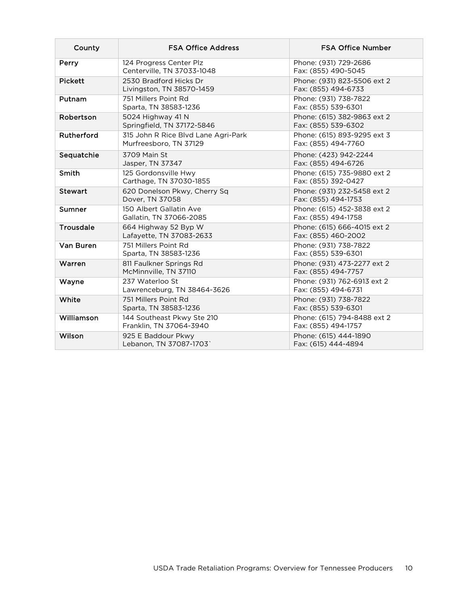| County           | <b>FSA Office Address</b>                                     | <b>FSA Office Number</b>                           |
|------------------|---------------------------------------------------------------|----------------------------------------------------|
| Perry            | 124 Progress Center Plz<br>Centerville, TN 37033-1048         | Phone: (931) 729-2686<br>Fax: (855) 490-5045       |
| <b>Pickett</b>   | 2530 Bradford Hicks Dr<br>Livingston, TN 38570-1459           | Phone: (931) 823-5506 ext 2<br>Fax: (855) 494-6733 |
| Putnam           | 751 Millers Point Rd<br>Sparta, TN 38583-1236                 | Phone: (931) 738-7822<br>Fax: (855) 539-6301       |
| Robertson        | 5024 Highway 41 N<br>Springfield, TN 37172-5846               | Phone: (615) 382-9863 ext 2<br>Fax: (855) 539-6302 |
| Rutherford       | 315 John R Rice Blvd Lane Agri-Park<br>Murfreesboro, TN 37129 | Phone: (615) 893-9295 ext 3<br>Fax: (855) 494-7760 |
| Sequatchie       | 3709 Main St<br>Jasper, TN 37347                              | Phone: (423) 942-2244<br>Fax: (855) 494-6726       |
| Smith            | 125 Gordonsville Hwy<br>Carthage, TN 37030-1855               | Phone: (615) 735-9880 ext 2<br>Fax: (855) 392-0427 |
| <b>Stewart</b>   | 620 Donelson Pkwy, Cherry Sq<br>Dover, TN 37058               | Phone: (931) 232-5458 ext 2<br>Fax: (855) 494-1753 |
| Sumner           | 150 Albert Gallatin Ave<br>Gallatin, TN 37066-2085            | Phone: (615) 452-3838 ext 2<br>Fax: (855) 494-1758 |
| <b>Trousdale</b> | 664 Highway 52 Byp W<br>Lafayette, TN 37083-2633              | Phone: (615) 666-4015 ext 2<br>Fax: (855) 460-2002 |
| Van Buren        | 751 Millers Point Rd<br>Sparta, TN 38583-1236                 | Phone: (931) 738-7822<br>Fax: (855) 539-6301       |
| Warren           | 811 Faulkner Springs Rd<br>McMinnville, TN 37110              | Phone: (931) 473-2277 ext 2<br>Fax: (855) 494-7757 |
| Wayne            | 237 Waterloo St<br>Lawrenceburg, TN 38464-3626                | Phone: (931) 762-6913 ext 2<br>Fax: (855) 494-6731 |
| White            | 751 Millers Point Rd<br>Sparta, TN 38583-1236                 | Phone: (931) 738-7822<br>Fax: (855) 539-6301       |
| Williamson       | 144 Southeast Pkwy Ste 210<br>Franklin, TN 37064-3940         | Phone: (615) 794-8488 ext 2<br>Fax: (855) 494-1757 |
| Wilson           | 925 E Baddour Pkwy<br>Lebanon, TN 37087-1703`                 | Phone: (615) 444-1890<br>Fax: (615) 444-4894       |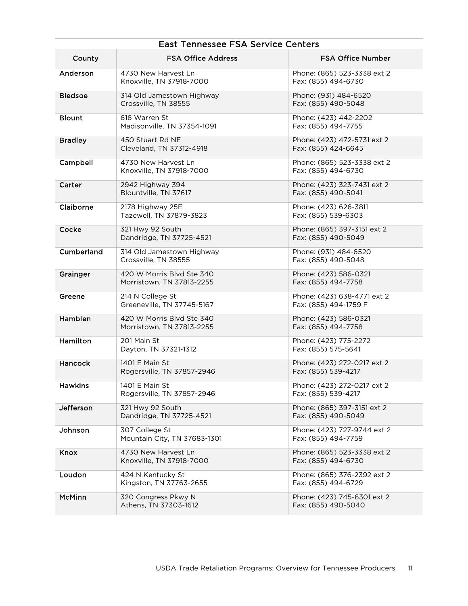| <b>East Tennessee FSA Service Centers</b> |                                                        |                                                      |  |
|-------------------------------------------|--------------------------------------------------------|------------------------------------------------------|--|
| County                                    | <b>FSA Office Address</b>                              | <b>FSA Office Number</b>                             |  |
| Anderson                                  | 4730 New Harvest Ln<br>Knoxville, TN 37918-7000        | Phone: (865) 523-3338 ext 2<br>Fax: (855) 494-6730   |  |
| <b>Bledsoe</b>                            | 314 Old Jamestown Highway<br>Crossville, TN 38555      | Phone: (931) 484-6520<br>Fax: (855) 490-5048         |  |
| <b>Blount</b>                             | 616 Warren St<br>Madisonville, TN 37354-1091           | Phone: (423) 442-2202<br>Fax: (855) 494-7755         |  |
| <b>Bradley</b>                            | 450 Stuart Rd NE<br>Cleveland, TN 37312-4918           | Phone: (423) 472-5731 ext 2<br>Fax: (855) 424-6645   |  |
| Campbell                                  | 4730 New Harvest Ln<br>Knoxville, TN 37918-7000        | Phone: (865) 523-3338 ext 2<br>Fax: (855) 494-6730   |  |
| Carter                                    | 2942 Highway 394<br>Blountville, TN 37617              | Phone: (423) 323-7431 ext 2<br>Fax: (855) 490-5041   |  |
| Claiborne                                 | 2178 Highway 25E<br>Tazewell, TN 37879-3823            | Phone: (423) 626-3811<br>Fax: (855) 539-6303         |  |
| Cocke                                     | 321 Hwy 92 South<br>Dandridge, TN 37725-4521           | Phone: (865) 397-3151 ext 2<br>Fax: (855) 490-5049   |  |
| Cumberland                                | 314 Old Jamestown Highway<br>Crossville, TN 38555      | Phone: (931) 484-6520<br>Fax: (855) 490-5048         |  |
| Grainger                                  | 420 W Morris Blyd Ste 340<br>Morristown, TN 37813-2255 | Phone: (423) 586-0321<br>Fax: (855) 494-7758         |  |
| Greene                                    | 214 N College St<br>Greeneville, TN 37745-5167         | Phone: (423) 638-4771 ext 2<br>Fax: (855) 494-1759 F |  |
| Hamblen                                   | 420 W Morris Blvd Ste 340<br>Morristown, TN 37813-2255 | Phone: (423) 586-0321<br>Fax: (855) 494-7758         |  |
| Hamilton                                  | 201 Main St<br>Dayton, TN 37321-1312                   | Phone: (423) 775-2272<br>Fax: (855) 575-5641         |  |
| Hancock                                   | 1401 E Main St<br>Rogersville, TN 37857-2946           | Phone: (423) 272-0217 ext 2<br>Fax: (855) 539-4217   |  |
| <b>Hawkins</b>                            | 1401 E Main St<br>Rogersville, TN 37857-2946           | Phone: (423) 272-0217 ext 2<br>Fax: (855) 539-4217   |  |
| Jefferson                                 | 321 Hwy 92 South<br>Dandridge, TN 37725-4521           | Phone: (865) 397-3151 ext 2<br>Fax: (855) 490-5049   |  |
| Johnson                                   | 307 College St<br>Mountain City, TN 37683-1301         | Phone: (423) 727-9744 ext 2<br>Fax: (855) 494-7759   |  |
| Knox                                      | 4730 New Harvest Ln<br>Knoxville, TN 37918-7000        | Phone: (865) 523-3338 ext 2<br>Fax: (855) 494-6730   |  |
| Loudon                                    | 424 N Kentucky St<br>Kingston, TN 37763-2655           | Phone: (865) 376-2392 ext 2<br>Fax: (855) 494-6729   |  |
| <b>McMinn</b>                             | 320 Congress Pkwy N<br>Athens, TN 37303-1612           | Phone: (423) 745-6301 ext 2<br>Fax: (855) 490-5040   |  |